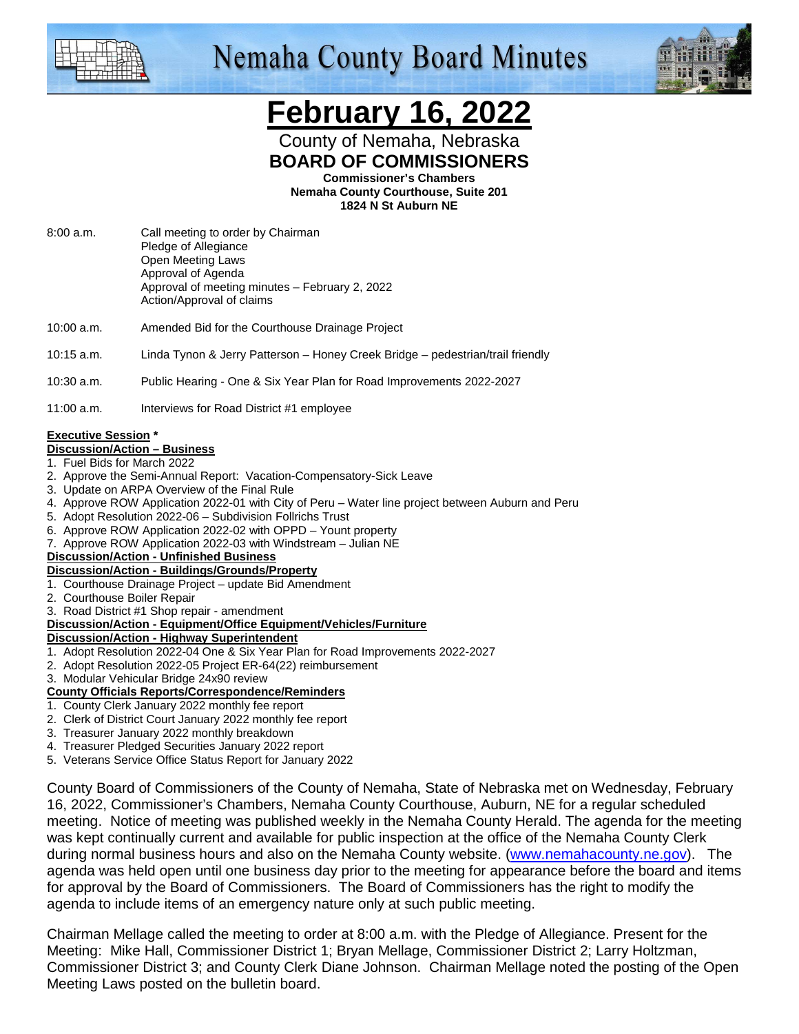

## **Nemaha County Board Minutes**



### **February 16, 2022**

County of Nemaha, Nebraska **BOARD OF COMMISSIONERS** 

**Commissioner's Chambers** 

**Nemaha County Courthouse, Suite 201 1824 N St Auburn NE** 

- 8:00 a.m. Call meeting to order by Chairman Pledge of Allegiance Open Meeting Laws Approval of Agenda Approval of meeting minutes – February 2, 2022 Action/Approval of claims
- 10:00 a.m. Amended Bid for the Courthouse Drainage Project
- 10:15 a.m. Linda Tynon & Jerry Patterson Honey Creek Bridge pedestrian/trail friendly

#### 10:30 a.m. Public Hearing - One & Six Year Plan for Road Improvements 2022-2027

11:00 a.m. Interviews for Road District #1 employee

#### **Executive Session \***

#### **Discussion/Action – Business**

- 1. Fuel Bids for March 2022
- 2. Approve the Semi-Annual Report: Vacation-Compensatory-Sick Leave
- 3. Update on ARPA Overview of the Final Rule
- 4. Approve ROW Application 2022-01 with City of Peru Water line project between Auburn and Peru
- 5. Adopt Resolution 2022-06 Subdivision Follrichs Trust
- 6. Approve ROW Application 2022-02 with OPPD Yount property
- 7. Approve ROW Application 2022-03 with Windstream Julian NE

#### **Discussion/Action - Unfinished Business**

#### **Discussion/Action - Buildings/Grounds/Property**

- 1. Courthouse Drainage Project update Bid Amendment
- 2. Courthouse Boiler Repair
- 3. Road District #1 Shop repair amendment

#### **Discussion/Action - Equipment/Office Equipment/Vehicles/Furniture**

- **Discussion/Action Highway Superintendent**
- 1. Adopt Resolution 2022-04 One & Six Year Plan for Road Improvements 2022-2027
- 2. Adopt Resolution 2022-05 Project ER-64(22) reimbursement
- 3. Modular Vehicular Bridge 24x90 review

#### **County Officials Reports/Correspondence/Reminders**

- 1. County Clerk January 2022 monthly fee report
- 2. Clerk of District Court January 2022 monthly fee report
- 3. Treasurer January 2022 monthly breakdown
- 4. Treasurer Pledged Securities January 2022 report
- 5. Veterans Service Office Status Report for January 2022

County Board of Commissioners of the County of Nemaha, State of Nebraska met on Wednesday, February 16, 2022, Commissioner's Chambers, Nemaha County Courthouse, Auburn, NE for a regular scheduled meeting. Notice of meeting was published weekly in the Nemaha County Herald. The agenda for the meeting was kept continually current and available for public inspection at the office of the Nemaha County Clerk during normal business hours and also on the Nemaha County website. (www.nemahacounty.ne.gov). The agenda was held open until one business day prior to the meeting for appearance before the board and items for approval by the Board of Commissioners. The Board of Commissioners has the right to modify the agenda to include items of an emergency nature only at such public meeting.

Chairman Mellage called the meeting to order at 8:00 a.m. with the Pledge of Allegiance. Present for the Meeting: Mike Hall, Commissioner District 1; Bryan Mellage, Commissioner District 2; Larry Holtzman, Commissioner District 3; and County Clerk Diane Johnson. Chairman Mellage noted the posting of the Open Meeting Laws posted on the bulletin board.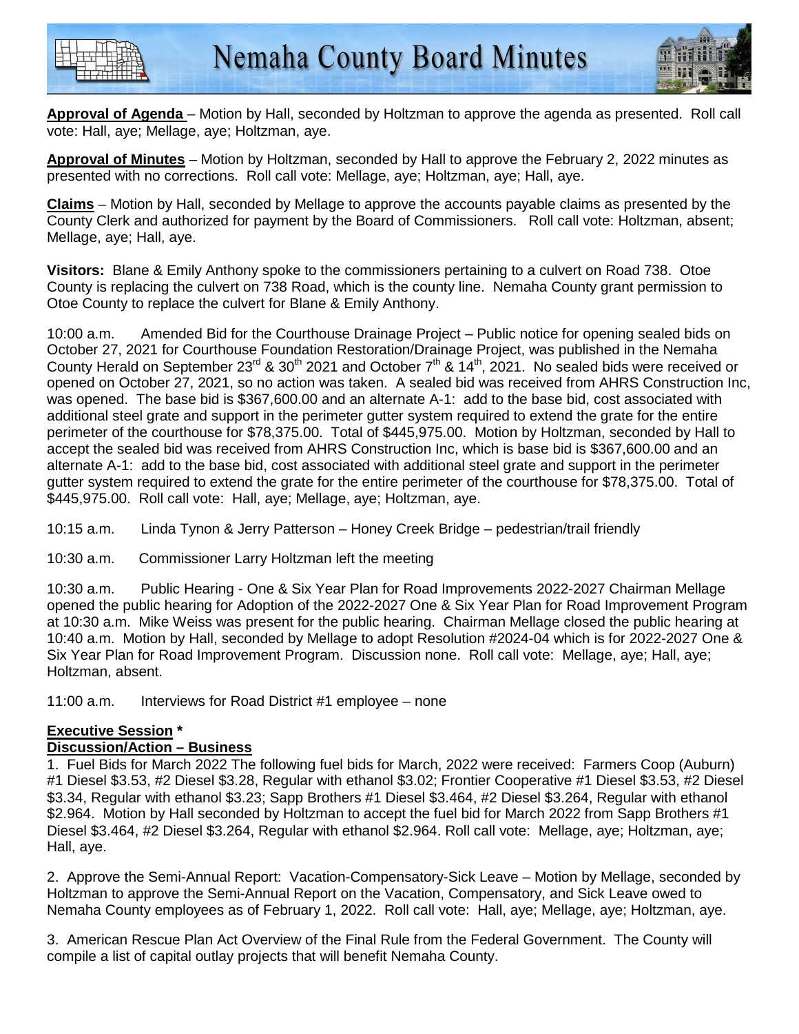



**Approval of Agenda** – Motion by Hall, seconded by Holtzman to approve the agenda as presented. Roll call vote: Hall, aye; Mellage, aye; Holtzman, aye.

**Approval of Minutes** – Motion by Holtzman, seconded by Hall to approve the February 2, 2022 minutes as presented with no corrections. Roll call vote: Mellage, aye; Holtzman, aye; Hall, aye.

**Claims** – Motion by Hall, seconded by Mellage to approve the accounts payable claims as presented by the County Clerk and authorized for payment by the Board of Commissioners. Roll call vote: Holtzman, absent; Mellage, aye; Hall, aye.

**Visitors:** Blane & Emily Anthony spoke to the commissioners pertaining to a culvert on Road 738. Otoe County is replacing the culvert on 738 Road, which is the county line. Nemaha County grant permission to Otoe County to replace the culvert for Blane & Emily Anthony.

10:00 a.m. Amended Bid for the Courthouse Drainage Project – Public notice for opening sealed bids on October 27, 2021 for Courthouse Foundation Restoration/Drainage Project, was published in the Nemaha County Herald on September 23<sup>rd</sup> & 30<sup>th</sup> 2021 and October  $7<sup>th</sup>$  &  $14<sup>th</sup>$ , 2021. No sealed bids were received or opened on October 27, 2021, so no action was taken. A sealed bid was received from AHRS Construction Inc, was opened. The base bid is \$367,600.00 and an alternate A-1: add to the base bid, cost associated with additional steel grate and support in the perimeter gutter system required to extend the grate for the entire perimeter of the courthouse for \$78,375.00. Total of \$445,975.00. Motion by Holtzman, seconded by Hall to accept the sealed bid was received from AHRS Construction Inc, which is base bid is \$367,600.00 and an alternate A-1: add to the base bid, cost associated with additional steel grate and support in the perimeter gutter system required to extend the grate for the entire perimeter of the courthouse for \$78,375.00. Total of \$445,975.00. Roll call vote: Hall, aye; Mellage, aye; Holtzman, aye.

10:15 a.m. Linda Tynon & Jerry Patterson – Honey Creek Bridge – pedestrian/trail friendly

10:30 a.m. Commissioner Larry Holtzman left the meeting

10:30 a.m. Public Hearing - One & Six Year Plan for Road Improvements 2022-2027 Chairman Mellage opened the public hearing for Adoption of the 2022-2027 One & Six Year Plan for Road Improvement Program at 10:30 a.m. Mike Weiss was present for the public hearing. Chairman Mellage closed the public hearing at 10:40 a.m. Motion by Hall, seconded by Mellage to adopt Resolution #2024-04 which is for 2022-2027 One & Six Year Plan for Road Improvement Program. Discussion none. Roll call vote: Mellage, aye; Hall, aye; Holtzman, absent.

11:00 a.m. Interviews for Road District #1 employee – none

#### **Executive Session \***

#### **Discussion/Action – Business**

1. Fuel Bids for March 2022 The following fuel bids for March, 2022 were received: Farmers Coop (Auburn) #1 Diesel \$3.53, #2 Diesel \$3.28, Regular with ethanol \$3.02; Frontier Cooperative #1 Diesel \$3.53, #2 Diesel \$3.34, Regular with ethanol \$3.23; Sapp Brothers #1 Diesel \$3.464, #2 Diesel \$3.264, Regular with ethanol \$2.964. Motion by Hall seconded by Holtzman to accept the fuel bid for March 2022 from Sapp Brothers #1 Diesel \$3.464, #2 Diesel \$3.264, Regular with ethanol \$2.964. Roll call vote: Mellage, aye; Holtzman, aye; Hall, aye.

2. Approve the Semi-Annual Report: Vacation-Compensatory-Sick Leave – Motion by Mellage, seconded by Holtzman to approve the Semi-Annual Report on the Vacation, Compensatory, and Sick Leave owed to Nemaha County employees as of February 1, 2022. Roll call vote: Hall, aye; Mellage, aye; Holtzman, aye.

3. American Rescue Plan Act Overview of the Final Rule from the Federal Government. The County will compile a list of capital outlay projects that will benefit Nemaha County.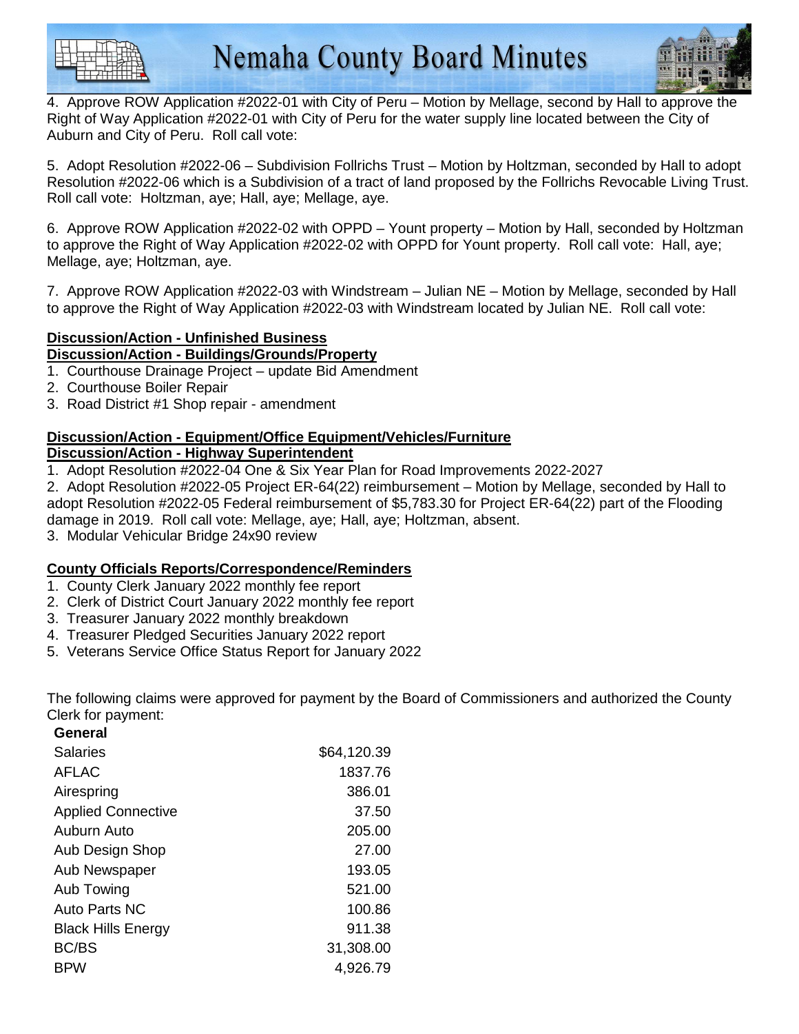



4. Approve ROW Application #2022-01 with City of Peru – Motion by Mellage, second by Hall to approve the Right of Way Application #2022-01 with City of Peru for the water supply line located between the City of Auburn and City of Peru. Roll call vote:

5. Adopt Resolution #2022-06 – Subdivision Follrichs Trust – Motion by Holtzman, seconded by Hall to adopt Resolution #2022-06 which is a Subdivision of a tract of land proposed by the Follrichs Revocable Living Trust. Roll call vote: Holtzman, aye; Hall, aye; Mellage, aye.

6. Approve ROW Application #2022-02 with OPPD – Yount property – Motion by Hall, seconded by Holtzman to approve the Right of Way Application #2022-02 with OPPD for Yount property. Roll call vote: Hall, aye; Mellage, aye; Holtzman, aye.

7. Approve ROW Application #2022-03 with Windstream – Julian NE – Motion by Mellage, seconded by Hall to approve the Right of Way Application #2022-03 with Windstream located by Julian NE. Roll call vote:

#### **Discussion/Action - Unfinished Business Discussion/Action - Buildings/Grounds/Property**

- 1. Courthouse Drainage Project update Bid Amendment
- 2. Courthouse Boiler Repair
- 3. Road District #1 Shop repair amendment

### **Discussion/Action - Equipment/Office Equipment/Vehicles/Furniture**

#### **Discussion/Action - Highway Superintendent**

1. Adopt Resolution #2022-04 One & Six Year Plan for Road Improvements 2022-2027

2. Adopt Resolution #2022-05 Project ER-64(22) reimbursement – Motion by Mellage, seconded by Hall to adopt Resolution #2022-05 Federal reimbursement of \$5,783.30 for Project ER-64(22) part of the Flooding damage in 2019. Roll call vote: Mellage, aye; Hall, aye; Holtzman, absent.

3. Modular Vehicular Bridge 24x90 review

#### **County Officials Reports/Correspondence/Reminders**

- 1. County Clerk January 2022 monthly fee report
- 2. Clerk of District Court January 2022 monthly fee report
- 3. Treasurer January 2022 monthly breakdown
- 4. Treasurer Pledged Securities January 2022 report
- 5. Veterans Service Office Status Report for January 2022

The following claims were approved for payment by the Board of Commissioners and authorized the County Clerk for payment:

| General                   |             |
|---------------------------|-------------|
| Salaries                  | \$64,120.39 |
| <b>AFLAC</b>              | 1837.76     |
| Airespring                | 386.01      |
| <b>Applied Connective</b> | 37.50       |
| Auburn Auto               | 205.00      |
| Aub Design Shop           | 27.00       |
| Aub Newspaper             | 193.05      |
| Aub Towing                | 521.00      |
| <b>Auto Parts NC</b>      | 100.86      |
| <b>Black Hills Energy</b> | 911.38      |
| <b>BC/BS</b>              | 31,308.00   |
| <b>BPW</b>                | 4,926.79    |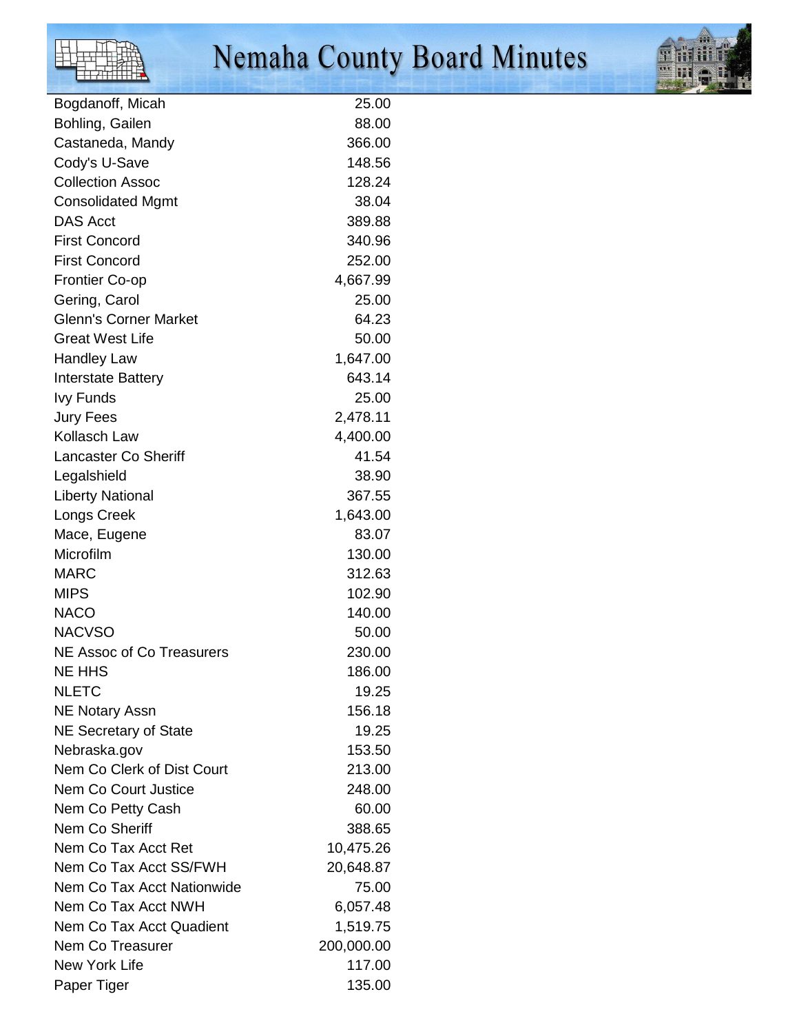

# Nemaha County Board Minutes



| Bogdanoff, Micah             | 25.00      |
|------------------------------|------------|
| Bohling, Gailen              | 88.00      |
| Castaneda, Mandy             | 366.00     |
| Cody's U-Save                | 148.56     |
| <b>Collection Assoc</b>      | 128.24     |
| <b>Consolidated Mgmt</b>     | 38.04      |
| <b>DAS Acct</b>              | 389.88     |
| <b>First Concord</b>         | 340.96     |
| <b>First Concord</b>         | 252.00     |
| <b>Frontier Co-op</b>        | 4,667.99   |
| Gering, Carol                | 25.00      |
| <b>Glenn's Corner Market</b> | 64.23      |
| <b>Great West Life</b>       | 50.00      |
| <b>Handley Law</b>           | 1,647.00   |
| <b>Interstate Battery</b>    | 643.14     |
| <b>Ivy Funds</b>             | 25.00      |
| <b>Jury Fees</b>             | 2,478.11   |
| Kollasch Law                 | 4,400.00   |
| <b>Lancaster Co Sheriff</b>  | 41.54      |
| Legalshield                  | 38.90      |
| <b>Liberty National</b>      | 367.55     |
| Longs Creek                  | 1,643.00   |
| Mace, Eugene                 | 83.07      |
| Microfilm                    | 130.00     |
| <b>MARC</b>                  | 312.63     |
| <b>MIPS</b>                  | 102.90     |
| <b>NACO</b>                  | 140.00     |
| <b>NACVSO</b>                | 50.00      |
| NE Assoc of Co Treasurers    | 230.00     |
| NE HHS                       | 186.00     |
| <b>NLETC</b>                 | 19.25      |
| <b>NE Notary Assn</b>        | 156.18     |
| <b>NE Secretary of State</b> | 19.25      |
| Nebraska.gov                 | 153.50     |
| Nem Co Clerk of Dist Court   | 213.00     |
| <b>Nem Co Court Justice</b>  | 248.00     |
| Nem Co Petty Cash            | 60.00      |
| Nem Co Sheriff               | 388.65     |
| Nem Co Tax Acct Ret          | 10,475.26  |
| Nem Co Tax Acct SS/FWH       | 20,648.87  |
| Nem Co Tax Acct Nationwide   | 75.00      |
| Nem Co Tax Acct NWH          | 6,057.48   |
| Nem Co Tax Acct Quadient     | 1,519.75   |
| <b>Nem Co Treasurer</b>      | 200,000.00 |
| <b>New York Life</b>         | 117.00     |
| Paper Tiger                  | 135.00     |
|                              |            |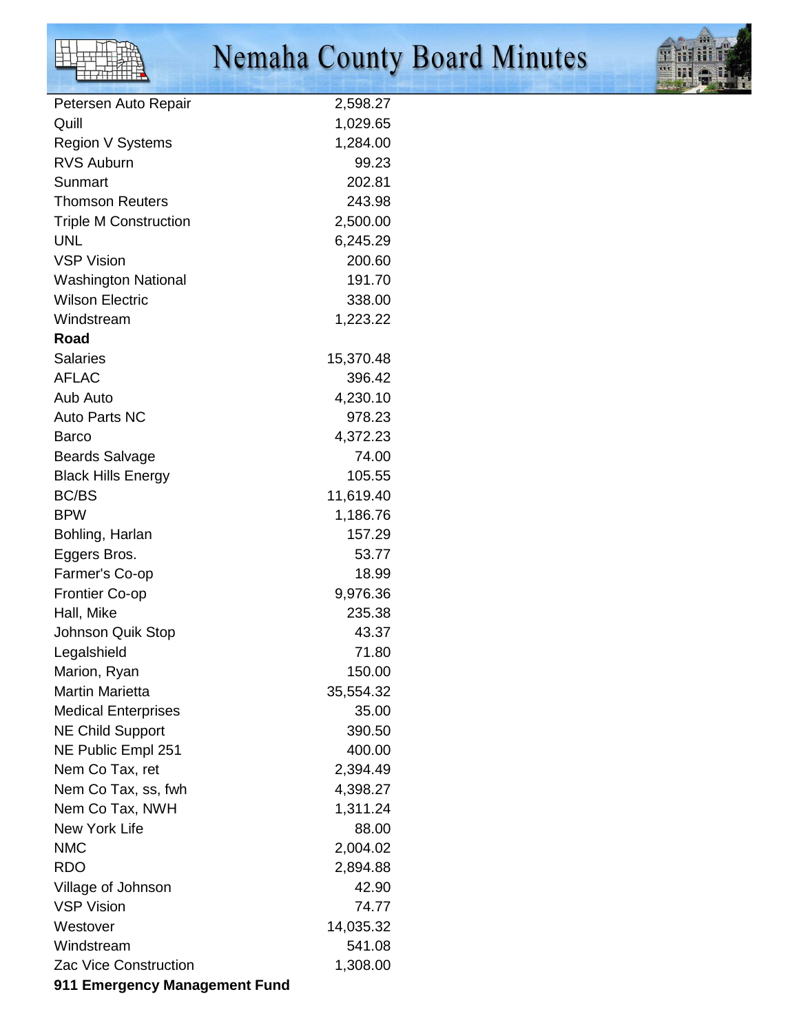

# Nemaha County Board Minutes



| Petersen Auto Repair          | 2,598.27  |
|-------------------------------|-----------|
| Quill                         | 1,029.65  |
| Region V Systems              | 1,284.00  |
| <b>RVS Auburn</b>             | 99.23     |
| Sunmart                       | 202.81    |
| <b>Thomson Reuters</b>        | 243.98    |
| <b>Triple M Construction</b>  | 2,500.00  |
| <b>UNL</b>                    | 6,245.29  |
| <b>VSP Vision</b>             | 200.60    |
| <b>Washington National</b>    | 191.70    |
| <b>Wilson Electric</b>        | 338.00    |
| Windstream                    | 1,223.22  |
| Road                          |           |
| <b>Salaries</b>               | 15,370.48 |
| <b>AFLAC</b>                  | 396.42    |
| Aub Auto                      | 4,230.10  |
| <b>Auto Parts NC</b>          |           |
|                               | 978.23    |
| Barco                         | 4,372.23  |
| <b>Beards Salvage</b>         | 74.00     |
| <b>Black Hills Energy</b>     | 105.55    |
| <b>BC/BS</b>                  | 11,619.40 |
| <b>BPW</b>                    | 1,186.76  |
| Bohling, Harlan               | 157.29    |
| Eggers Bros.                  | 53.77     |
| Farmer's Co-op                | 18.99     |
| <b>Frontier Co-op</b>         | 9,976.36  |
| Hall, Mike                    | 235.38    |
| <b>Johnson Quik Stop</b>      | 43.37     |
| Legalshield                   | 71.80     |
| Marion, Ryan                  | 150.00    |
| <b>Martin Marietta</b>        | 35,554.32 |
| <b>Medical Enterprises</b>    | 35.00     |
| <b>NE Child Support</b>       | 390.50    |
| NE Public Empl 251            | 400.00    |
| Nem Co Tax, ret               | 2,394.49  |
| Nem Co Tax, ss, fwh           | 4,398.27  |
| Nem Co Tax, NWH               | 1,311.24  |
| <b>New York Life</b>          | 88.00     |
| <b>NMC</b>                    | 2,004.02  |
| <b>RDO</b>                    | 2,894.88  |
| Village of Johnson            | 42.90     |
| <b>VSP Vision</b>             | 74.77     |
| Westover                      | 14,035.32 |
| Windstream                    | 541.08    |
| <b>Zac Vice Construction</b>  | 1,308.00  |
| 911 Emergency Management Fund |           |
|                               |           |